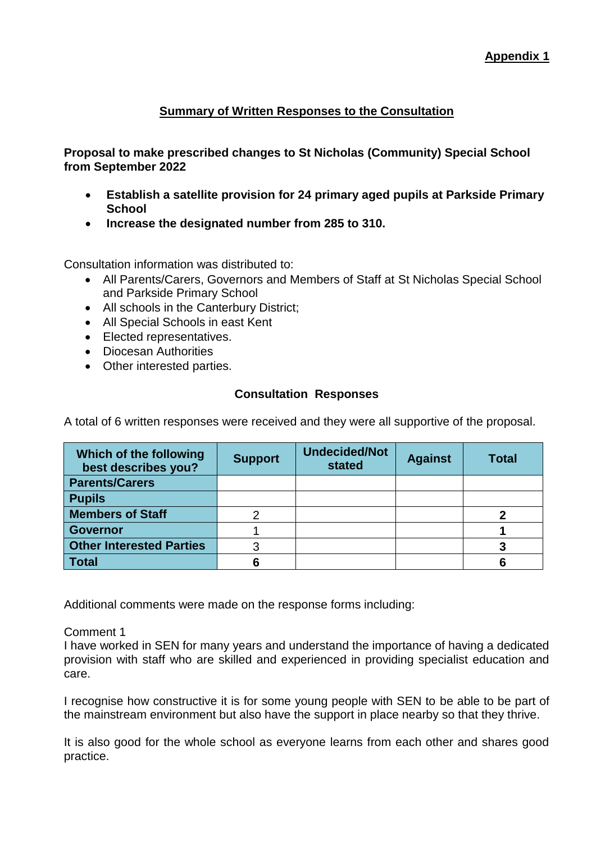# **Summary of Written Responses to the Consultation**

**Proposal to make prescribed changes to St Nicholas (Community) Special School from September 2022**

- **Establish a satellite provision for 24 primary aged pupils at Parkside Primary School**
- **Increase the designated number from 285 to 310.**

Consultation information was distributed to:

- All Parents/Carers, Governors and Members of Staff at St Nicholas Special School and Parkside Primary School
- All schools in the Canterbury District;
- All Special Schools in east Kent
- **Elected representatives.**
- Diocesan Authorities
- Other interested parties.

## **Consultation Responses**

A total of 6 written responses were received and they were all supportive of the proposal.

| Which of the following<br>best describes you? | <b>Support</b> | <b>Undecided/Not</b><br>stated | <b>Against</b> | <b>Total</b> |
|-----------------------------------------------|----------------|--------------------------------|----------------|--------------|
| <b>Parents/Carers</b>                         |                |                                |                |              |
| <b>Pupils</b>                                 |                |                                |                |              |
| <b>Members of Staff</b>                       |                |                                |                |              |
| <b>Governor</b>                               |                |                                |                |              |
| <b>Other Interested Parties</b>               | 3              |                                |                |              |
| <b>Total</b>                                  | 6              |                                |                | 6            |

Additional comments were made on the response forms including:

### Comment 1

I have worked in SEN for many years and understand the importance of having a dedicated provision with staff who are skilled and experienced in providing specialist education and care.

I recognise how constructive it is for some young people with SEN to be able to be part of the mainstream environment but also have the support in place nearby so that they thrive.

It is also good for the whole school as everyone learns from each other and shares good practice.